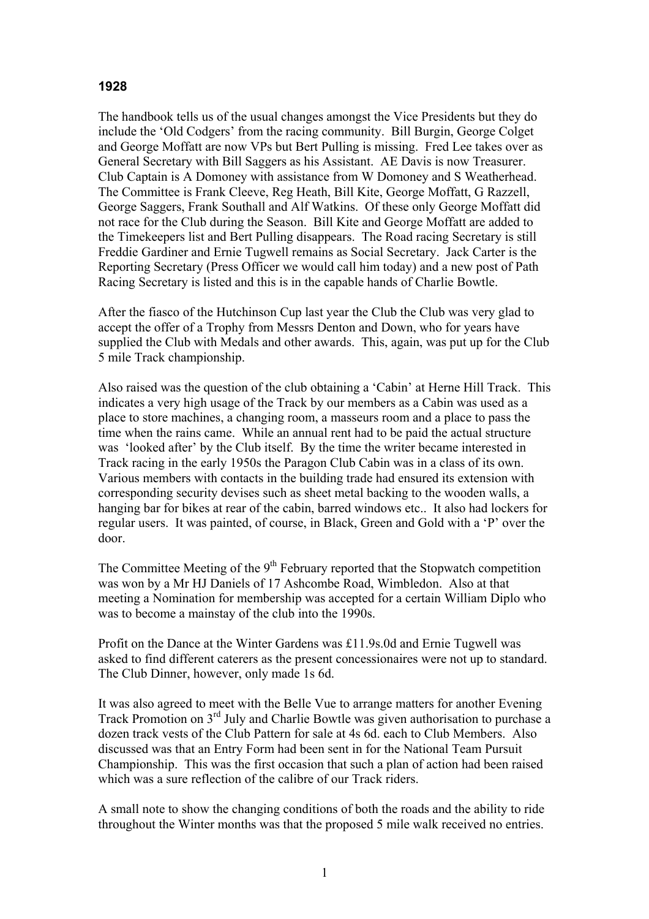## **1928**

The handbook tells us of the usual changes amongst the Vice Presidents but they do include the 'Old Codgers' from the racing community. Bill Burgin, George Colget and George Moffatt are now VPs but Bert Pulling is missing. Fred Lee takes over as General Secretary with Bill Saggers as his Assistant. AE Davis is now Treasurer. Club Captain is A Domoney with assistance from W Domoney and S Weatherhead. The Committee is Frank Cleeve, Reg Heath, Bill Kite, George Moffatt, G Razzell, George Saggers, Frank Southall and Alf Watkins. Of these only George Moffatt did not race for the Club during the Season. Bill Kite and George Moffatt are added to the Timekeepers list and Bert Pulling disappears. The Road racing Secretary is still Freddie Gardiner and Ernie Tugwell remains as Social Secretary. Jack Carter is the Reporting Secretary (Press Officer we would call him today) and a new post of Path Racing Secretary is listed and this is in the capable hands of Charlie Bowtle.

After the fiasco of the Hutchinson Cup last year the Club the Club was very glad to accept the offer of a Trophy from Messrs Denton and Down, who for years have supplied the Club with Medals and other awards. This, again, was put up for the Club 5 mile Track championship.

Also raised was the question of the club obtaining a 'Cabin' at Herne Hill Track. This indicates a very high usage of the Track by our members as a Cabin was used as a place to store machines, a changing room, a masseurs room and a place to pass the time when the rains came. While an annual rent had to be paid the actual structure was 'looked after' by the Club itself. By the time the writer became interested in Track racing in the early 1950s the Paragon Club Cabin was in a class of its own. Various members with contacts in the building trade had ensured its extension with corresponding security devises such as sheet metal backing to the wooden walls, a hanging bar for bikes at rear of the cabin, barred windows etc.. It also had lockers for regular users. It was painted, of course, in Black, Green and Gold with a 'P' over the door.

The Committee Meeting of the  $9<sup>th</sup>$  February reported that the Stopwatch competition was won by a Mr HJ Daniels of 17 Ashcombe Road, Wimbledon. Also at that meeting a Nomination for membership was accepted for a certain William Diplo who was to become a mainstay of the club into the 1990s.

Profit on the Dance at the Winter Gardens was £11.9s.0d and Ernie Tugwell was asked to find different caterers as the present concessionaires were not up to standard. The Club Dinner, however, only made 1s 6d.

It was also agreed to meet with the Belle Vue to arrange matters for another Evening Track Promotion on 3rd July and Charlie Bowtle was given authorisation to purchase a dozen track vests of the Club Pattern for sale at 4s 6d. each to Club Members. Also discussed was that an Entry Form had been sent in for the National Team Pursuit Championship. This was the first occasion that such a plan of action had been raised which was a sure reflection of the calibre of our Track riders.

A small note to show the changing conditions of both the roads and the ability to ride throughout the Winter months was that the proposed 5 mile walk received no entries.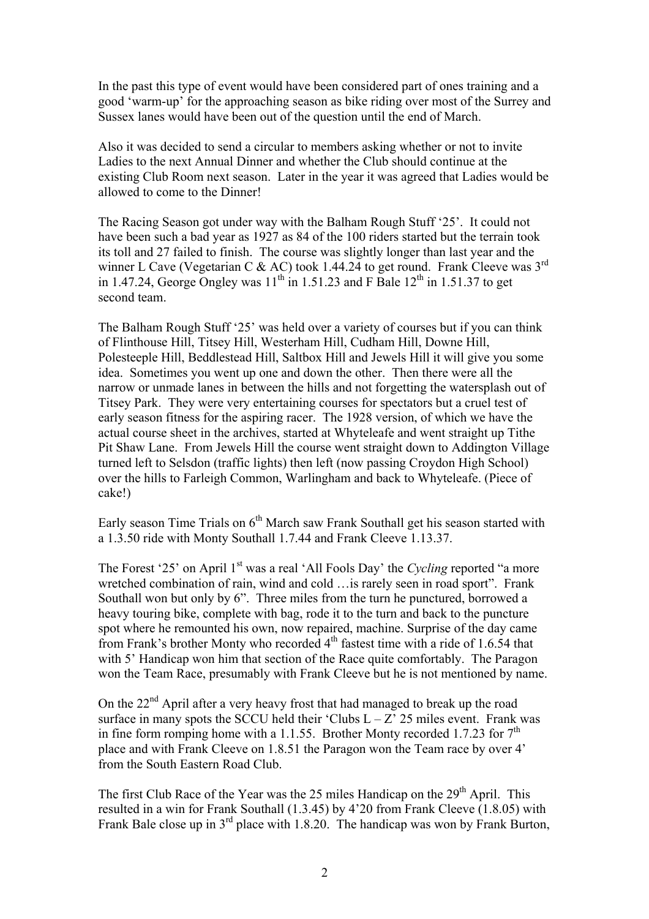In the past this type of event would have been considered part of ones training and a good 'warm-up' for the approaching season as bike riding over most of the Surrey and Sussex lanes would have been out of the question until the end of March.

Also it was decided to send a circular to members asking whether or not to invite Ladies to the next Annual Dinner and whether the Club should continue at the existing Club Room next season. Later in the year it was agreed that Ladies would be allowed to come to the Dinner!

The Racing Season got under way with the Balham Rough Stuff '25'. It could not have been such a bad year as 1927 as 84 of the 100 riders started but the terrain took its toll and 27 failed to finish. The course was slightly longer than last year and the winner L Cave (Vegetarian C & AC) took 1.44.24 to get round. Frank Cleeve was 3<sup>rd</sup> in 1.47.24, George Ongley was  $11^{th}$  in 1.51.23 and F Bale  $12^{th}$  in 1.51.37 to get second team.

The Balham Rough Stuff '25' was held over a variety of courses but if you can think of Flinthouse Hill, Titsey Hill, Westerham Hill, Cudham Hill, Downe Hill, Polesteeple Hill, Beddlestead Hill, Saltbox Hill and Jewels Hill it will give you some idea. Sometimes you went up one and down the other. Then there were all the narrow or unmade lanes in between the hills and not forgetting the watersplash out of Titsey Park. They were very entertaining courses for spectators but a cruel test of early season fitness for the aspiring racer. The 1928 version, of which we have the actual course sheet in the archives, started at Whyteleafe and went straight up Tithe Pit Shaw Lane. From Jewels Hill the course went straight down to Addington Village turned left to Selsdon (traffic lights) then left (now passing Croydon High School) over the hills to Farleigh Common, Warlingham and back to Whyteleafe. (Piece of cake!)

Early season Time Trials on  $6<sup>th</sup>$  March saw Frank Southall get his season started with a 1.3.50 ride with Monty Southall 1.7.44 and Frank Cleeve 1.13.37.

The Forest '25' on April 1<sup>st</sup> was a real 'All Fools Day' the *Cycling* reported "a more wretched combination of rain, wind and cold ... is rarely seen in road sport". Frank Southall won but only by 6". Three miles from the turn he punctured, borrowed a heavy touring bike, complete with bag, rode it to the turn and back to the puncture spot where he remounted his own, now repaired, machine. Surprise of the day came from Frank's brother Monty who recorded 4th fastest time with a ride of 1.6.54 that with 5' Handicap won him that section of the Race quite comfortably. The Paragon won the Team Race, presumably with Frank Cleeve but he is not mentioned by name.

On the  $22<sup>nd</sup>$  April after a very heavy frost that had managed to break up the road surface in many spots the SCCU held their 'Clubs  $L - Z^2$  25 miles event. Frank was in fine form romping home with a 1.1.55. Brother Monty recorded 1.7.23 for  $7<sup>th</sup>$ place and with Frank Cleeve on 1.8.51 the Paragon won the Team race by over 4' from the South Eastern Road Club.

The first Club Race of the Year was the 25 miles Handicap on the 29<sup>th</sup> April. This resulted in a win for Frank Southall (1.3.45) by 4'20 from Frank Cleeve (1.8.05) with Frank Bale close up in  $3<sup>rd</sup>$  place with 1.8.20. The handicap was won by Frank Burton,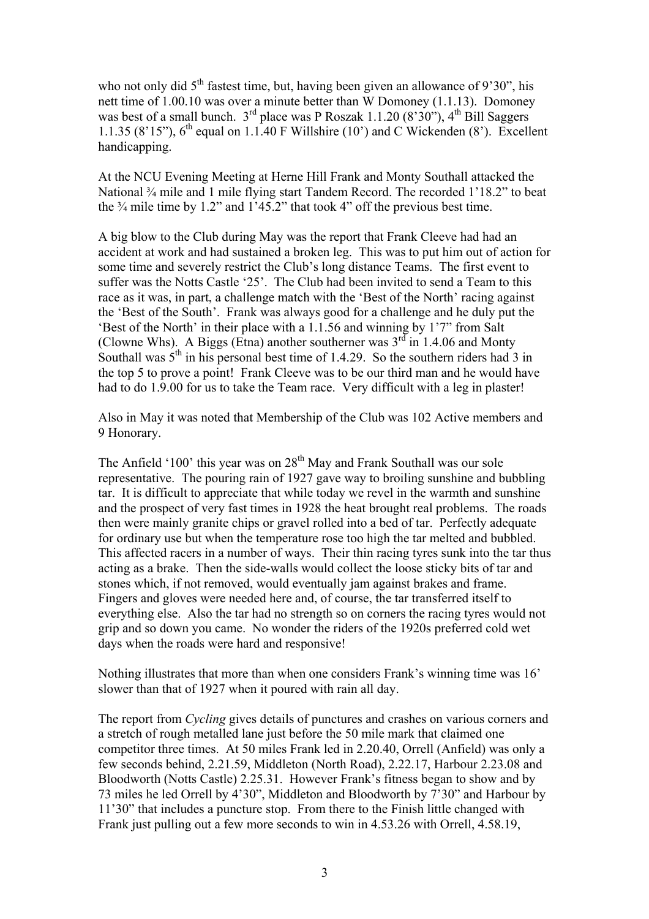who not only did  $5<sup>th</sup>$  fastest time, but, having been given an allowance of 9'30", his nett time of 1.00.10 was over a minute better than W Domoney (1.1.13). Domoney was best of a small bunch.  $3<sup>rd</sup>$  place was P Roszak 1.1.20 (8'30"), 4<sup>th</sup> Bill Saggers 1.1.35 (8'15"),  $6<sup>th</sup>$  equal on 1.1.40 F Willshire (10') and C Wickenden (8'). Excellent handicapping.

At the NCU Evening Meeting at Herne Hill Frank and Monty Southall attacked the National ¾ mile and 1 mile flying start Tandem Record. The recorded 1'18.2" to beat the  $\frac{3}{4}$  mile time by 1.2" and 1'45.2" that took 4" off the previous best time.

A big blow to the Club during May was the report that Frank Cleeve had had an accident at work and had sustained a broken leg. This was to put him out of action for some time and severely restrict the Club's long distance Teams. The first event to suffer was the Notts Castle '25'. The Club had been invited to send a Team to this race as it was, in part, a challenge match with the 'Best of the North' racing against the 'Best of the South'. Frank was always good for a challenge and he duly put the 'Best of the North' in their place with a 1.1.56 and winning by 1'7" from Salt (Clowne Whs). A Biggs (Etna) another southerner was  $3^{rd}$  in 1.4.06 and Monty Southall was  $5<sup>th</sup>$  in his personal best time of 1.4.29. So the southern riders had 3 in the top 5 to prove a point! Frank Cleeve was to be our third man and he would have had to do 1.9.00 for us to take the Team race. Very difficult with a leg in plaster!

Also in May it was noted that Membership of the Club was 102 Active members and 9 Honorary.

The Anfield '100' this year was on  $28<sup>th</sup>$  May and Frank Southall was our sole representative. The pouring rain of 1927 gave way to broiling sunshine and bubbling tar. It is difficult to appreciate that while today we revel in the warmth and sunshine and the prospect of very fast times in 1928 the heat brought real problems. The roads then were mainly granite chips or gravel rolled into a bed of tar. Perfectly adequate for ordinary use but when the temperature rose too high the tar melted and bubbled. This affected racers in a number of ways. Their thin racing tyres sunk into the tar thus acting as a brake. Then the side-walls would collect the loose sticky bits of tar and stones which, if not removed, would eventually jam against brakes and frame. Fingers and gloves were needed here and, of course, the tar transferred itself to everything else. Also the tar had no strength so on corners the racing tyres would not grip and so down you came. No wonder the riders of the 1920s preferred cold wet days when the roads were hard and responsive!

Nothing illustrates that more than when one considers Frank's winning time was 16' slower than that of 1927 when it poured with rain all day.

The report from *Cycling* gives details of punctures and crashes on various corners and a stretch of rough metalled lane just before the 50 mile mark that claimed one competitor three times. At 50 miles Frank led in 2.20.40, Orrell (Anfield) was only a few seconds behind, 2.21.59, Middleton (North Road), 2.22.17, Harbour 2.23.08 and Bloodworth (Notts Castle) 2.25.31. However Frank's fitness began to show and by 73 miles he led Orrell by 4'30", Middleton and Bloodworth by 7'30" and Harbour by 11'30" that includes a puncture stop. From there to the Finish little changed with Frank just pulling out a few more seconds to win in 4.53.26 with Orrell, 4.58.19,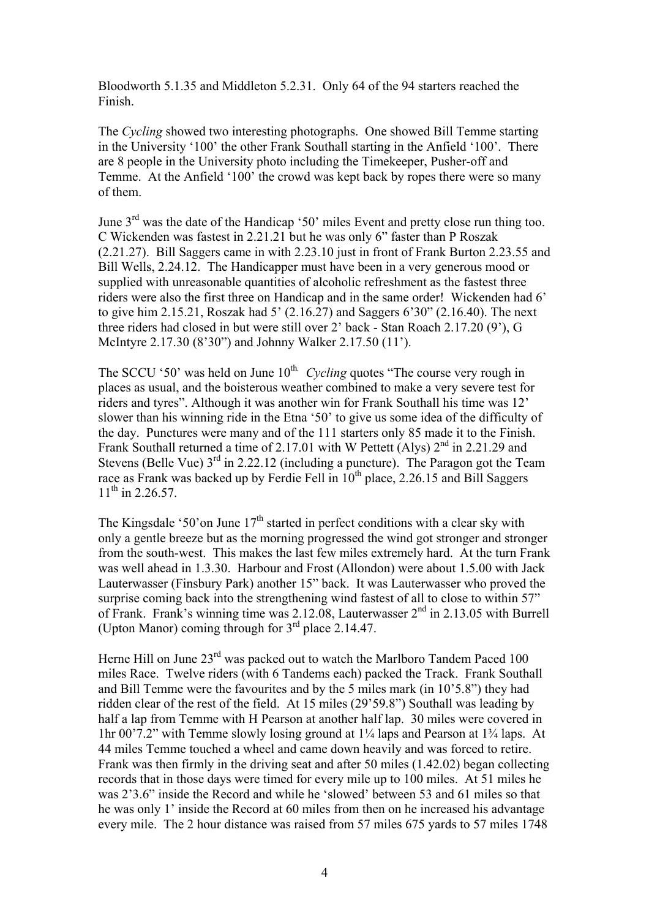Bloodworth 5.1.35 and Middleton 5.2.31. Only 64 of the 94 starters reached the Finish.

The *Cycling* showed two interesting photographs. One showed Bill Temme starting in the University '100' the other Frank Southall starting in the Anfield '100'. There are 8 people in the University photo including the Timekeeper, Pusher-off and Temme. At the Anfield '100' the crowd was kept back by ropes there were so many of them.

June 3rd was the date of the Handicap '50' miles Event and pretty close run thing too. C Wickenden was fastest in 2.21.21 but he was only 6" faster than P Roszak (2.21.27). Bill Saggers came in with 2.23.10 just in front of Frank Burton 2.23.55 and Bill Wells, 2.24.12. The Handicapper must have been in a very generous mood or supplied with unreasonable quantities of alcoholic refreshment as the fastest three riders were also the first three on Handicap and in the same order! Wickenden had 6' to give him 2.15.21, Roszak had  $5'$  (2.16.27) and Saggers  $6'30''$  (2.16.40). The next three riders had closed in but were still over 2' back - Stan Roach 2.17.20 (9'), G McIntyre 2.17.30 (8'30") and Johnny Walker 2.17.50 (11').

The SCCU '50' was held on June  $10^{th}$ . Cycling quotes "The course very rough in places as usual, and the boisterous weather combined to make a very severe test for riders and tyres". Although it was another win for Frank Southall his time was 12' slower than his winning ride in the Etna '50' to give us some idea of the difficulty of the day. Punctures were many and of the 111 starters only 85 made it to the Finish. Frank Southall returned a time of 2.17.01 with W Pettett (Alys)  $2<sup>nd</sup>$  in 2.21.29 and Stevens (Belle Vue)  $3<sup>rd</sup>$  in 2.22.12 (including a puncture). The Paragon got the Team race as Frank was backed up by Ferdie Fell in  $10^{th}$  place, 2.26.15 and Bill Saggers  $11^{th}$  in 2.26.57.

The Kingsdale '50' on June  $17<sup>th</sup>$  started in perfect conditions with a clear sky with only a gentle breeze but as the morning progressed the wind got stronger and stronger from the south-west. This makes the last few miles extremely hard. At the turn Frank was well ahead in 1.3.30. Harbour and Frost (Allondon) were about 1.5.00 with Jack Lauterwasser (Finsbury Park) another 15" back. It was Lauterwasser who proved the surprise coming back into the strengthening wind fastest of all to close to within 57" of Frank. Frank's winning time was 2.12.08, Lauterwasser 2nd in 2.13.05 with Burrell (Upton Manor) coming through for  $3<sup>rd</sup>$  place 2.14.47.

Herne Hill on June 23<sup>rd</sup> was packed out to watch the Marlboro Tandem Paced 100 miles Race. Twelve riders (with 6 Tandems each) packed the Track. Frank Southall and Bill Temme were the favourites and by the 5 miles mark (in 10'5.8") they had ridden clear of the rest of the field. At 15 miles (29'59.8") Southall was leading by half a lap from Temme with H Pearson at another half lap. 30 miles were covered in 1hr 00'7.2" with Temme slowly losing ground at 1¼ laps and Pearson at 1¾ laps. At 44 miles Temme touched a wheel and came down heavily and was forced to retire. Frank was then firmly in the driving seat and after 50 miles (1.42.02) began collecting records that in those days were timed for every mile up to 100 miles. At 51 miles he was 2'3.6" inside the Record and while he 'slowed' between 53 and 61 miles so that he was only 1' inside the Record at 60 miles from then on he increased his advantage every mile. The 2 hour distance was raised from 57 miles 675 yards to 57 miles 1748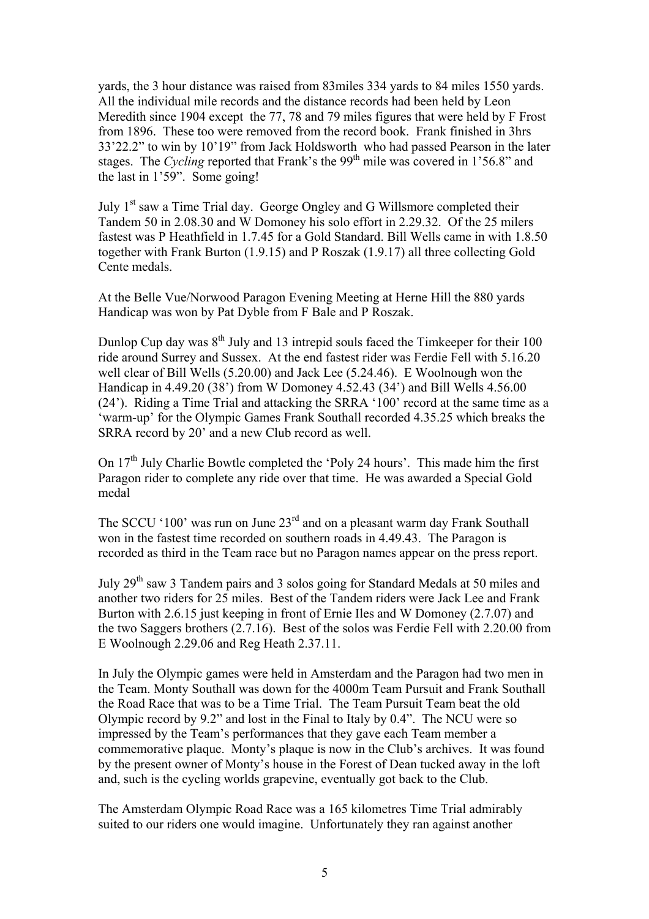yards, the 3 hour distance was raised from 83miles 334 yards to 84 miles 1550 yards. All the individual mile records and the distance records had been held by Leon Meredith since 1904 except the 77, 78 and 79 miles figures that were held by F Frost from 1896. These too were removed from the record book. Frank finished in 3hrs 33'22.2" to win by 10'19" from Jack Holdsworth who had passed Pearson in the later stages. The *Cycling* reported that Frank's the 99<sup>th</sup> mile was covered in 1'56.8" and the last in 1'59". Some going!

July 1<sup>st</sup> saw a Time Trial day. George Ongley and G Willsmore completed their Tandem 50 in 2.08.30 and W Domoney his solo effort in 2.29.32. Of the 25 milers fastest was P Heathfield in 1.7.45 for a Gold Standard. Bill Wells came in with 1.8.50 together with Frank Burton (1.9.15) and P Roszak (1.9.17) all three collecting Gold Cente medals.

At the Belle Vue/Norwood Paragon Evening Meeting at Herne Hill the 880 yards Handicap was won by Pat Dyble from F Bale and P Roszak.

Dunlop Cup day was  $8<sup>th</sup>$  July and 13 intrepid souls faced the Timkeeper for their 100 ride around Surrey and Sussex. At the end fastest rider was Ferdie Fell with 5.16.20 well clear of Bill Wells (5.20.00) and Jack Lee (5.24.46). E Woolnough won the Handicap in 4.49.20 (38') from W Domoney 4.52.43 (34') and Bill Wells 4.56.00 (24'). Riding a Time Trial and attacking the SRRA '100' record at the same time as a 'warm-up' for the Olympic Games Frank Southall recorded 4.35.25 which breaks the SRRA record by 20' and a new Club record as well.

On 17<sup>th</sup> July Charlie Bowtle completed the 'Poly 24 hours'. This made him the first Paragon rider to complete any ride over that time. He was awarded a Special Gold medal

The SCCU '100' was run on June 23<sup>rd</sup> and on a pleasant warm day Frank Southall won in the fastest time recorded on southern roads in 4.49.43. The Paragon is recorded as third in the Team race but no Paragon names appear on the press report.

July 29th saw 3 Tandem pairs and 3 solos going for Standard Medals at 50 miles and another two riders for 25 miles. Best of the Tandem riders were Jack Lee and Frank Burton with 2.6.15 just keeping in front of Ernie Iles and W Domoney (2.7.07) and the two Saggers brothers (2.7.16). Best of the solos was Ferdie Fell with 2.20.00 from E Woolnough 2.29.06 and Reg Heath 2.37.11.

In July the Olympic games were held in Amsterdam and the Paragon had two men in the Team. Monty Southall was down for the 4000m Team Pursuit and Frank Southall the Road Race that was to be a Time Trial. The Team Pursuit Team beat the old Olympic record by 9.2" and lost in the Final to Italy by 0.4". The NCU were so impressed by the Team's performances that they gave each Team member a commemorative plaque. Monty's plaque is now in the Club's archives. It was found by the present owner of Monty's house in the Forest of Dean tucked away in the loft and, such is the cycling worlds grapevine, eventually got back to the Club.

The Amsterdam Olympic Road Race was a 165 kilometres Time Trial admirably suited to our riders one would imagine. Unfortunately they ran against another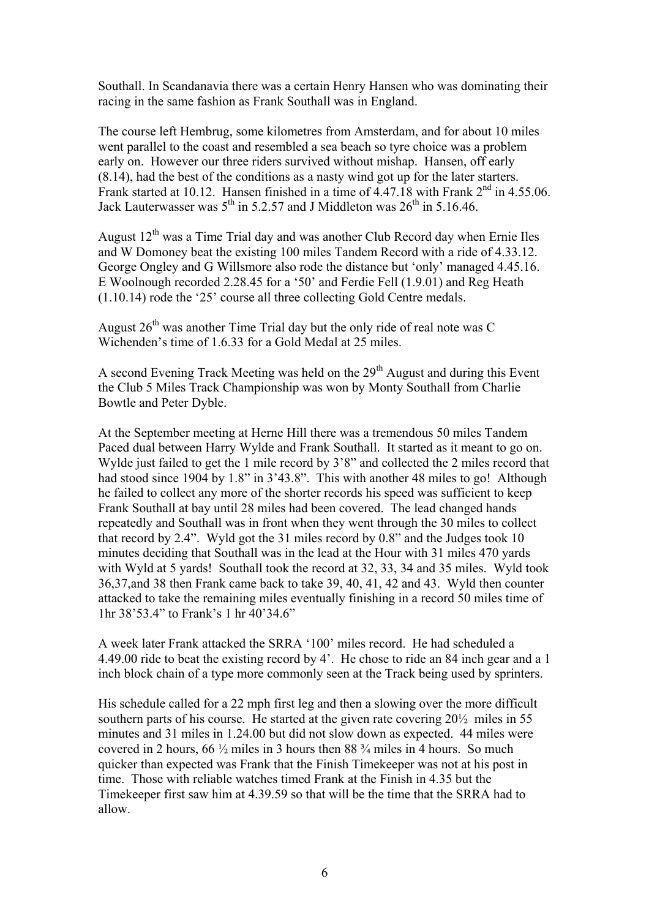Southall. In Scandanavia there was a certain Henry Hansen who was dominating their racing in the same fashion as Frank Southall was in England.

The course left Hembrug, some kilometres from Amsterdam, and for about 10 miles went parallel to the coast and resembled a sea beach so tyre choice was a problem early on. However our three riders survived without mishap. Hansen, off early (8.14), had the best of the conditions as a nasty wind got up for the later starters. Frank started at 10.12. Hansen finished in a time of  $4.47.18$  with Frank  $2<sup>nd</sup>$  in 4.55.06. Jack Lauterwasser was  $5^{th}$  in 5.2.57 and J Middleton was  $26^{th}$  in 5.16.46.

August  $12<sup>th</sup>$  was a Time Trial day and was another Club Record day when Ernie Iles and W Domoney beat the existing 100 miles Tandem Record with a ride of 4.33.12. George Ongley and G Willsmore also rode the distance but 'only' managed 4.45.16. E Woolnough recorded 2.28.45 for a '50' and Ferdie Fell (1.9.01) and Reg Heath (1.10.14) rode the '25' course all three collecting Gold Centre medals.

August  $26<sup>th</sup>$  was another Time Trial day but the only ride of real note was C Wichenden's time of 1.6.33 for a Gold Medal at 25 miles.

A second Evening Track Meeting was held on the  $29<sup>th</sup>$  August and during this Event the Club 5 Miles Track Championship was won by Monty Southall from Charlie Bowtle and Peter Dyble.

At the September meeting at Herne Hill there was a tremendous 50 miles Tandem Paced dual between Harry Wylde and Frank Southall. It started as it meant to go on. Wylde just failed to get the 1 mile record by 3'8" and collected the 2 miles record that had stood since 1904 by 1.8" in 3'43.8". This with another 48 miles to go! Although he failed to collect any more of the shorter records his speed was sufficient to keep Frank Southall at bay until 28 miles had been covered. The lead changed hands repeatedly and Southall was in front when they went through the 30 miles to collect that record by 2.4". Wyld got the 31 miles record by 0.8" and the Judges took 10 minutes deciding that Southall was in the lead at the Hour with 31 miles 470 yards with Wyld at 5 yards! Southall took the record at 32, 33, 34 and 35 miles. Wyld took 36,37,and 38 then Frank came back to take 39, 40, 41, 42 and 43. Wyld then counter attacked to take the remaining miles eventually finishing in a record 50 miles time of 1hr 38'53.4" to Frank's 1 hr 40'34.6"

A week later Frank attacked the SRRA '100' miles record. He had scheduled a 4.49.00 ride to beat the existing record by 4'. He chose to ride an 84 inch gear and a 1 inch block chain of a type more commonly seen at the Track being used by sprinters.

His schedule called for a 22 mph first leg and then a slowing over the more difficult southern parts of his course. He started at the given rate covering 20½ miles in 55 minutes and 31 miles in 1.24.00 but did not slow down as expected. 44 miles were covered in 2 hours,  $66\frac{1}{2}$  miles in 3 hours then 88  $\frac{3}{4}$  miles in 4 hours. So much quicker than expected was Frank that the Finish Timekeeper was not at his post in time. Those with reliable watches timed Frank at the Finish in 4.35 but the Timekeeper first saw him at 4.39.59 so that will be the time that the SRRA had to allow.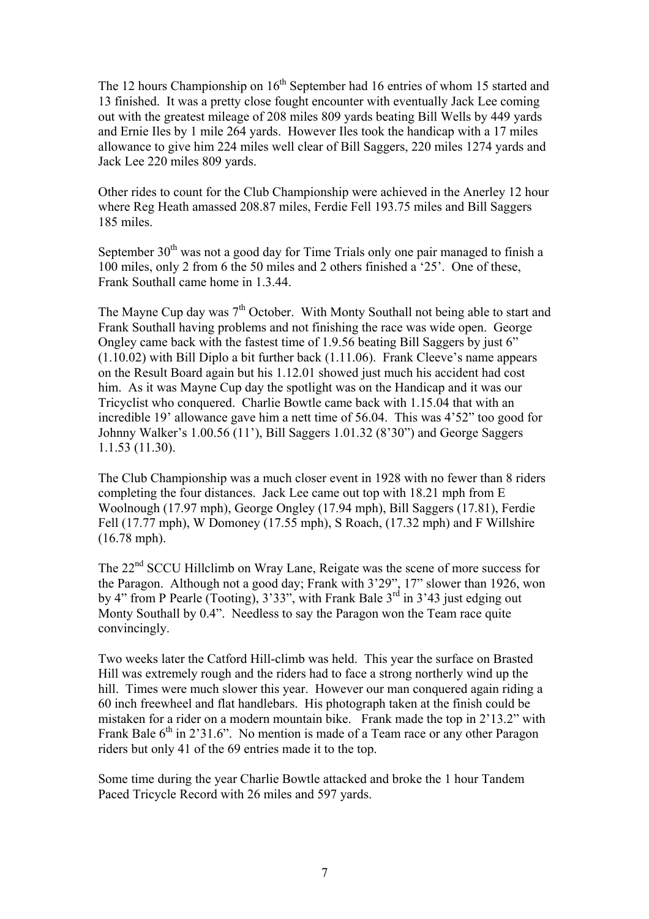The 12 hours Championship on  $16<sup>th</sup>$  September had 16 entries of whom 15 started and 13 finished. It was a pretty close fought encounter with eventually Jack Lee coming out with the greatest mileage of 208 miles 809 yards beating Bill Wells by 449 yards and Ernie Iles by 1 mile 264 yards. However Iles took the handicap with a 17 miles allowance to give him 224 miles well clear of Bill Saggers, 220 miles 1274 yards and Jack Lee 220 miles 809 yards.

Other rides to count for the Club Championship were achieved in the Anerley 12 hour where Reg Heath amassed 208.87 miles, Ferdie Fell 193.75 miles and Bill Saggers 185 miles.

September  $30<sup>th</sup>$  was not a good day for Time Trials only one pair managed to finish a 100 miles, only 2 from 6 the 50 miles and 2 others finished a '25'. One of these, Frank Southall came home in 1.3.44.

The Mayne Cup day was  $7<sup>th</sup>$  October. With Monty Southall not being able to start and Frank Southall having problems and not finishing the race was wide open. George Ongley came back with the fastest time of 1.9.56 beating Bill Saggers by just 6" (1.10.02) with Bill Diplo a bit further back (1.11.06). Frank Cleeve's name appears on the Result Board again but his 1.12.01 showed just much his accident had cost him. As it was Mayne Cup day the spotlight was on the Handicap and it was our Tricyclist who conquered. Charlie Bowtle came back with 1.15.04 that with an incredible 19' allowance gave him a nett time of 56.04. This was 4'52" too good for Johnny Walker's 1.00.56 (11'), Bill Saggers 1.01.32 (8'30") and George Saggers 1.1.53 (11.30).

The Club Championship was a much closer event in 1928 with no fewer than 8 riders completing the four distances. Jack Lee came out top with 18.21 mph from E Woolnough (17.97 mph), George Ongley (17.94 mph), Bill Saggers (17.81), Ferdie Fell (17.77 mph), W Domoney (17.55 mph), S Roach, (17.32 mph) and F Willshire (16.78 mph).

The 22<sup>nd</sup> SCCU Hillclimb on Wray Lane, Reigate was the scene of more success for the Paragon. Although not a good day; Frank with 3'29", 17" slower than 1926, won by 4" from P Pearle (Tooting),  $3'33''$ , with Frank Bale  $3<sup>rd</sup>$  in  $3'43$  just edging out Monty Southall by 0.4". Needless to say the Paragon won the Team race quite convincingly.

Two weeks later the Catford Hill-climb was held. This year the surface on Brasted Hill was extremely rough and the riders had to face a strong northerly wind up the hill. Times were much slower this year. However our man conquered again riding a 60 inch freewheel and flat handlebars. His photograph taken at the finish could be mistaken for a rider on a modern mountain bike. Frank made the top in 2'13.2" with Frank Bale  $6<sup>th</sup>$  in 2'31.6". No mention is made of a Team race or any other Paragon riders but only 41 of the 69 entries made it to the top.

Some time during the year Charlie Bowtle attacked and broke the 1 hour Tandem Paced Tricycle Record with 26 miles and 597 yards.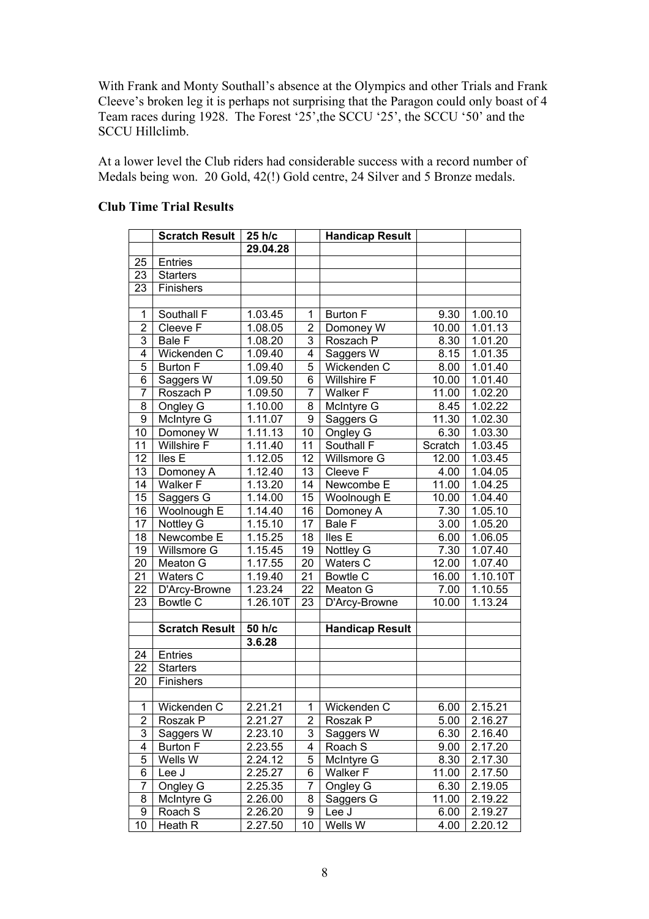With Frank and Monty Southall's absence at the Olympics and other Trials and Frank Cleeve's broken leg it is perhaps not surprising that the Paragon could only boast of 4 Team races during 1928. The Forest '25',the SCCU '25', the SCCU '50' and the SCCU Hillclimb.

At a lower level the Club riders had considerable success with a record number of Medals being won. 20 Gold, 42(!) Gold centre, 24 Silver and 5 Bronze medals.

|                 | <b>Scratch Result</b> | 25 h/c   |                | <b>Handicap Result</b> |         |                |
|-----------------|-----------------------|----------|----------------|------------------------|---------|----------------|
|                 |                       | 29.04.28 |                |                        |         |                |
| 25              | <b>Entries</b>        |          |                |                        |         |                |
| 23              | <b>Starters</b>       |          |                |                        |         |                |
| 23              | Finishers             |          |                |                        |         |                |
|                 |                       |          |                |                        |         |                |
| 1               | Southall F            | 1.03.45  | 1              | <b>Burton F</b>        | 9.30    | 1.00.10        |
| $\overline{2}$  | Cleeve F              | 1.08.05  | $\overline{2}$ | Domoney W              | 10.00   | 1.01.13        |
| $\overline{3}$  | Bale F                | 1.08.20  | $\overline{3}$ | Roszach P              | 8.30    | 1.01.20        |
| $\overline{4}$  | Wickenden C           | 1.09.40  | $\overline{4}$ | Saggers W              | 8.15    | 1.01.35        |
| 5               | <b>Burton F</b>       | 1.09.40  | 5              | Wickenden C            | 8.00    | 1.01.40        |
| $\overline{6}$  | Saggers W             | 1.09.50  | $\overline{6}$ | <b>Willshire F</b>     | 10.00   | 1.01.40        |
| $\overline{7}$  | Roszach P             | 1.09.50  | $\overline{7}$ | Walker F               | 11.00   | 1.02.20        |
| $\overline{8}$  | Ongley G              | 1.10.00  | $\overline{8}$ | McIntyre G             | 8.45    | 1.02.22        |
| $\overline{9}$  | McIntyre G            | 1.11.07  | $\overline{9}$ | Saggers G              | 11.30   | 1.02.30        |
| 10              | Domoney W             | 1.11.13  | 10             | Ongley G               | 6.30    | 1.03.30        |
| 11              | Willshire F           | 1.11.40  | 11             | Southall F             | Scratch | 1.03.45        |
| $\overline{12}$ | lles E                | 1.12.05  | 12             | Willsmore G            | 12.00   | 1.03.45        |
| 13              | Domoney A             | 1.12.40  | 13             | Cleeve F               | 4.00    | 1.04.05        |
| $\overline{14}$ | <b>Walker F</b>       | 1.13.20  | 14             | Newcombe E             | 11.00   | 1.04.25        |
| 15              | Saggers G             | 1.14.00  | 15             | Woolnough E            | 10.00   | 1.04.40        |
| 16              | Woolnough E           | 1.14.40  | 16             | Domoney A              | 7.30    | 1.05.10        |
| $\overline{17}$ | Nottley G             | 1.15.10  | 17             | Bale F                 | 3.00    | 1.05.20        |
| 18              | Newcombe E            | 1.15.25  | 18             | lles E                 | 6.00    | 1.06.05        |
| 19              | Willsmore G           | 1.15.45  | 19             | Nottley G              | 7.30    | 1.07.40        |
| 20              | Meaton G              | 1.17.55  | 20             | Waters C               | 12.00   | 1.07.40        |
| 21              | Waters $\overline{C}$ | 1.19.40  | 21             | <b>Bowtle C</b>        | 16.00   | 1.10.10T       |
| 22              | D'Arcy-Browne         | 1.23.24  | 22             | Meaton G               | 7.00    | 1.10.55        |
| 23              | <b>Bowtle C</b>       | 1.26.10T | 23             | D'Arcy-Browne          | 10.00   | 1.13.24        |
|                 |                       |          |                |                        |         |                |
|                 | <b>Scratch Result</b> | 50 h/c   |                | <b>Handicap Result</b> |         |                |
|                 |                       | 3.6.28   |                |                        |         |                |
| 24              | <b>Entries</b>        |          |                |                        |         |                |
| 22              | <b>Starters</b>       |          |                |                        |         |                |
| 20              | Finishers             |          |                |                        |         |                |
|                 |                       |          |                |                        |         |                |
| 1               | Wickenden C           | 2.21.21  | $\mathbf{1}$   | Wickenden C            | 6.00    | 2.15.21        |
| $\overline{2}$  | Roszak P              | 2.21.27  | $\overline{2}$ | Roszak P               |         | $5.00$ 2.16.27 |
| 3               | Saggers W             | 2.23.10  | 3              | Saggers W              | 6.30    | 2.16.40        |
| 4               | <b>Burton F</b>       | 2.23.55  | 4              | Roach S                | 9.00    | 2.17.20        |
| 5               | Wells W               | 2.24.12  | 5              | McIntyre G             | 8.30    | 2.17.30        |
| 6               | Lee J                 | 2.25.27  | 6              | Walker F               | 11.00   | 2.17.50        |
| $\overline{7}$  | Ongley G              | 2.25.35  | 7              | Ongley G               | 6.30    | 2.19.05        |
| 8               | McIntyre G            | 2.26.00  | 8              | Saggers G              | 11.00   | 2.19.22        |
| 9               | Roach S               | 2.26.20  | 9              | Lee J                  | 6.00    | 2.19.27        |
| 10              | Heath R               | 2.27.50  | 10             | Wells W                | 4.00    | 2.20.12        |

## **Club Time Trial Results**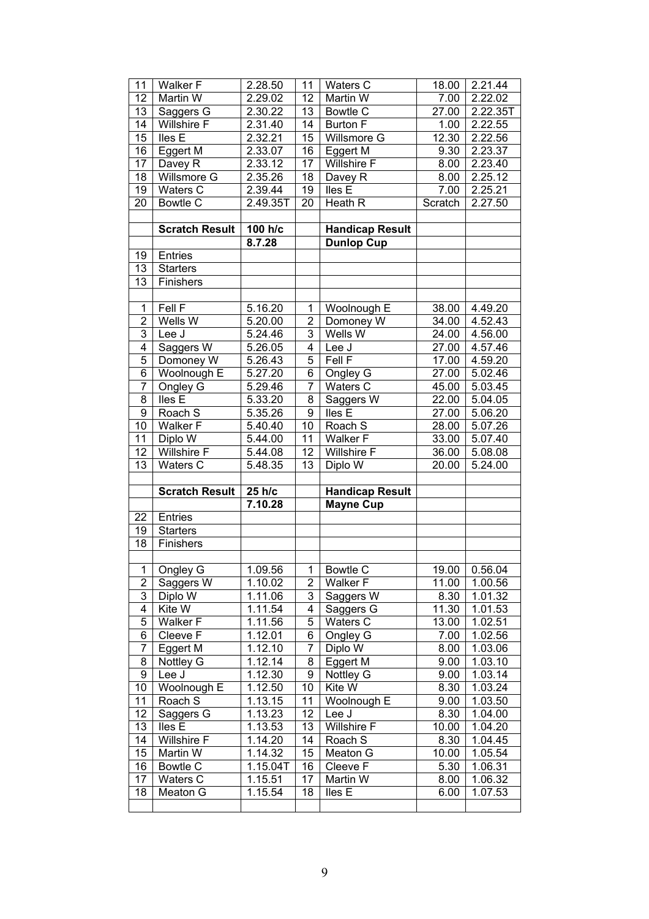| 11              | Walker F              | 2.28.50  | 11              | Waters C               | 18.00              | 2.21.44  |
|-----------------|-----------------------|----------|-----------------|------------------------|--------------------|----------|
| 12              | Martin W              | 2.29.02  | 12              | Martin W               | 7.00               | 2.22.02  |
| 13              | Saggers G             | 2.30.22  | 13              | <b>Bowtle C</b>        | 27.00              | 2.22.35T |
| 14              | <b>Willshire F</b>    | 2.31.40  | 14              | <b>Burton F</b>        | 1.00               | 2.22.55  |
| 15              | <b>Iles</b> E         | 2.32.21  | 15              | Willsmore G            | 12.30              | 2.22.56  |
| 16              | Eggert M              | 2.33.07  | 16              | Eggert M               | 9.30               | 2.23.37  |
| $\overline{17}$ | Davey R               | 2.33.12  | 17              | <b>Willshire F</b>     | 8.00               | 2.23.40  |
| 18              | Willsmore G           | 2.35.26  | 18              | Davey R                | 8.00               | 2.25.12  |
| 19              | Waters C              | 2.39.44  | 19              | lles <sub>E</sub>      | 7.00               | 2.25.21  |
| 20              | Bowtle C              | 2.49.35T | 20              | <b>Heath R</b>         | Scratch            | 2.27.50  |
|                 |                       |          |                 |                        |                    |          |
|                 | <b>Scratch Result</b> | 100 h/c  |                 | <b>Handicap Result</b> |                    |          |
|                 |                       | 8.7.28   |                 | <b>Dunlop Cup</b>      |                    |          |
| 19              | Entries               |          |                 |                        |                    |          |
| 13              | <b>Starters</b>       |          |                 |                        |                    |          |
| 13              | Finishers             |          |                 |                        |                    |          |
|                 |                       |          |                 |                        |                    |          |
| $\overline{1}$  | Fell F                | 5.16.20  | $\mathbf{1}$    | Woolnough E            | 38.00              | 4.49.20  |
| $\overline{2}$  | Wells W               | 5.20.00  | $\overline{c}$  | Domoney W              | 34.00              | 4.52.43  |
| $\overline{3}$  | Lee J                 | 5.24.46  | $\overline{3}$  | Wells W                | 24.00              | 4.56.00  |
| $\overline{4}$  | Saggers W             | 5.26.05  | $\overline{4}$  | Lee J                  | 27.00              | 4.57.46  |
| $\overline{5}$  | Domoney W             | 5.26.43  | 5               | Fell F                 | 17.00              | 4.59.20  |
| $\overline{6}$  | Woolnough E           | 5.27.20  | $\overline{6}$  | Ongley G               | 27.00              | 5.02.46  |
| $\overline{7}$  | Ongley G              | 5.29.46  | $\overline{7}$  | Waters C               | 45.00              | 5.03.45  |
| $\overline{8}$  | lles E                | 5.33.20  | $\overline{8}$  | Saggers W              | 22.00              | 5.04.05  |
| $\overline{9}$  | Roach S               | 5.35.26  | $\overline{9}$  | Iles <sub>E</sub>      | 27.00              | 5.06.20  |
| 10              | Walker F              | 5.40.40  | 10              | Roach S                | 28.00              | 5.07.26  |
| 11              | Diplo W               | 5.44.00  | $\overline{11}$ | Walker F               | 33.00              | 5.07.40  |
|                 |                       |          |                 |                        |                    |          |
| 12              | <b>Willshire F</b>    | 5.44.08  | 12              | <b>Willshire F</b>     | 36.00              | 5.08.08  |
| 13              | Waters C              | 5.48.35  | 13              | Diplo W                | 20.00              | 5.24.00  |
|                 |                       |          |                 |                        |                    |          |
|                 | <b>Scratch Result</b> | 25 h/c   |                 | <b>Handicap Result</b> |                    |          |
|                 |                       | 7.10.28  |                 | <b>Mayne Cup</b>       |                    |          |
| 22              | <b>Entries</b>        |          |                 |                        |                    |          |
| 19              | <b>Starters</b>       |          |                 |                        |                    |          |
| 18              | Finishers             |          |                 |                        |                    |          |
|                 |                       |          |                 |                        |                    |          |
| $\overline{1}$  | Ongley G              | 1.09.56  | 1               | <b>Bowtle C</b>        | 19.00              | 0.56.04  |
| $\overline{2}$  | Saggers W             | 1.10.02  | $\mathbf{2}$    | Walker F               | 11.00              | 1.00.56  |
| 3               | Diplo W               | 1.11.06  | 3               | Saggers W              | 8.30               | 1.01.32  |
| $\overline{4}$  | Kite W                | 1.11.54  | 4               | Saggers G              | 11.30              | 1.01.53  |
| 5               | <b>Walker F</b>       | 1.11.56  | 5               | <b>Waters C</b>        | $13.\overline{00}$ | 1.02.51  |
| 6               | Cleeve F              | 1.12.01  | 6               | Ongley G               | 7.00               | 1.02.56  |
| $\overline{7}$  | Eggert M              | 1.12.10  | $\overline{7}$  | Diplo W                | 8.00               | 1.03.06  |
| 8               | Nottley G             | 1.12.14  | 8               | Eggert M               | 9.00               | 1.03.10  |
| $\overline{9}$  | Lee J                 | 1.12.30  | $\overline{9}$  | Nottley G              | 9.00               | 1.03.14  |
| 10              | Woolnough E           | 1.12.50  | 10              | Kite W                 | 8.30               | 1.03.24  |
| 11              | Roach S               | 1.13.15  | 11              | Woolnough E            | 9.00               | 1.03.50  |
| 12              | Saggers G             | 1.13.23  | 12              | Lee J                  | 8.30               | 1.04.00  |
| 13              | lles E                | 1.13.53  | 13              | <b>Willshire F</b>     | 10.00              | 1.04.20  |
| 14              | Willshire F           | 1.14.20  | 14              | Roach S                | 8.30               | 1.04.45  |
| 15              | Martin W              | 1.14.32  | 15              | Meaton G               | 10.00              | 1.05.54  |
| 16              | Bowtle C              | 1.15.04T | 16              | Cleeve F               | 5.30               | 1.06.31  |
| 17              | Waters C              | 1.15.51  | 17              | Martin W               | 8.00               | 1.06.32  |
| 18              | Meaton G              | 1.15.54  | 18              | Iles <sub>E</sub>      | 6.00               | 1.07.53  |